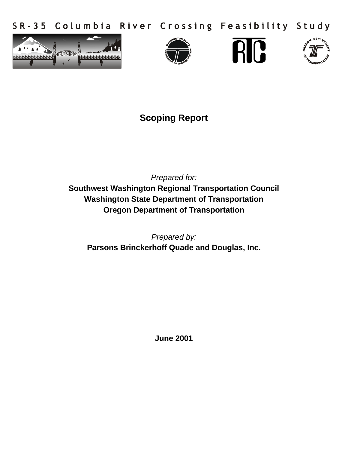SR-35 Columbia River Crossing Feasibility Study









# **Scoping Report**

*Prepared for:* **Southwest Washington Regional Transportation Council Washington State Department of Transportation Oregon Department of Transportation**

*Prepared by:* **Parsons Brinckerhoff Quade and Douglas, Inc.**

**June 2001**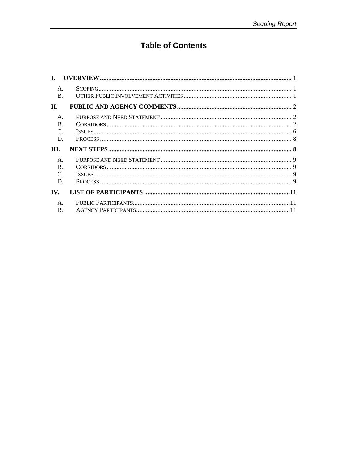# **Table of Contents**

| $\mathsf{A}$ .         |  |
|------------------------|--|
| $\mathbf{B}$ .         |  |
| II.                    |  |
| $\mathsf{A}$ .         |  |
| $\bf{B}$ .             |  |
| $\mathcal{C}$ .        |  |
| D.                     |  |
|                        |  |
|                        |  |
| III.<br>$\mathsf{A}$ . |  |
| $\bf{B}$ .             |  |
| $\mathcal{C}$ .        |  |
| D.                     |  |
| IV.                    |  |
| $\mathsf{A}$ .         |  |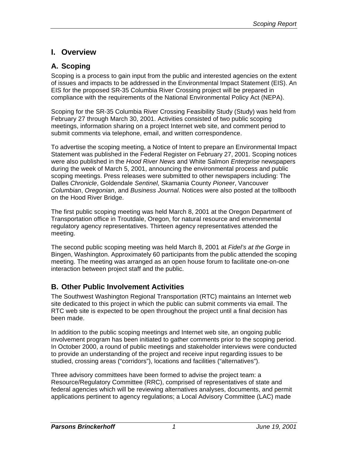# **I. Overview**

# **A. Scoping**

Scoping is a process to gain input from the public and interested agencies on the extent of issues and impacts to be addressed in the Environmental Impact Statement (EIS). An EIS for the proposed SR-35 Columbia River Crossing project will be prepared in compliance with the requirements of the National Environmental Policy Act (NEPA).

Scoping for the SR-35 Columbia River Crossing Feasibility Study (Study) was held from February 27 through March 30, 2001. Activities consisted of two public scoping meetings, information sharing on a project Internet web site, and comment period to submit comments via telephone, email, and written correspondence.

To advertise the scoping meeting, a Notice of Intent to prepare an Environmental Impact Statement was published in the Federal Register on February 27, 2001. Scoping notices were also published in the *Hood River News* and White Salmon *Enterprise* newspapers during the week of March 5, 2001, announcing the environmental process and public scoping meetings. Press releases were submitted to other newspapers including: The Dalles *Chronicle*, Goldendale *Sentinel*, Skamania County *Pioneer*, Vancouver *Columbian*, *Oregonian*, and *Business Journal*. Notices were also posted at the tollbooth on the Hood River Bridge.

The first public scoping meeting was held March 8, 2001 at the Oregon Department of Transportation office in Troutdale, Oregon, for natural resource and environmental regulatory agency representatives. Thirteen agency representatives attended the meeting.

The second public scoping meeting was held March 8, 2001 at *Fidel's at the Gorge* in Bingen, Washington. Approximately 60 participants from the public attended the scoping meeting. The meeting was arranged as an open house forum to facilitate one-on-one interaction between project staff and the public.

## **B. Other Public Involvement Activities**

The Southwest Washington Regional Transportation (RTC) maintains an Internet web site dedicated to this project in which the public can submit comments via email. The RTC web site is expected to be open throughout the project until a final decision has been made.

In addition to the public scoping meetings and Internet web site, an ongoing public involvement program has been initiated to gather comments prior to the scoping period. In October 2000, a round of public meetings and stakeholder interviews were conducted to provide an understanding of the project and receive input regarding issues to be studied, crossing areas ("corridors"), locations and facilities ("alternatives").

Three advisory committees have been formed to advise the project team: a Resource/Regulatory Committee (RRC), comprised of representatives of state and federal agencies which will be reviewing alternatives analyses, documents, and permit applications pertinent to agency regulations; a Local Advisory Committee (LAC) made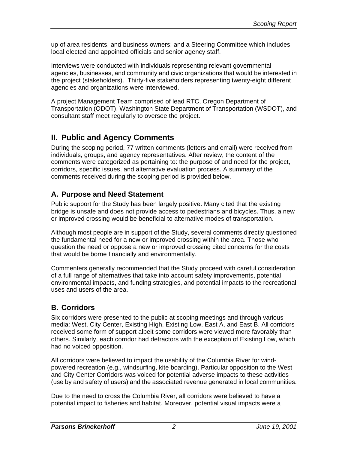up of area residents, and business owners; and a Steering Committee which includes local elected and appointed officials and senior agency staff.

Interviews were conducted with individuals representing relevant governmental agencies, businesses, and community and civic organizations that would be interested in the project (stakeholders). Thirty-five stakeholders representing twenty-eight different agencies and organizations were interviewed.

A project Management Team comprised of lead RTC, Oregon Department of Transportation (ODOT), Washington State Department of Transportation (WSDOT), and consultant staff meet regularly to oversee the project.

# **II. Public and Agency Comments**

During the scoping period, 77 written comments (letters and email) were received from individuals, groups, and agency representatives. After review, the content of the comments were categorized as pertaining to: the purpose of and need for the project, corridors, specific issues, and alternative evaluation process. A summary of the comments received during the scoping period is provided below.

# **A. Purpose and Need Statement**

Public support for the Study has been largely positive. Many cited that the existing bridge is unsafe and does not provide access to pedestrians and bicycles. Thus, a new or improved crossing would be beneficial to alternative modes of transportation.

Although most people are in support of the Study, several comments directly questioned the fundamental need for a new or improved crossing within the area. Those who question the need or oppose a new or improved crossing cited concerns for the costs that would be borne financially and environmentally.

Commenters generally recommended that the Study proceed with careful consideration of a full range of alternatives that take into account safety improvements, potential environmental impacts, and funding strategies, and potential impacts to the recreational uses and users of the area.

# **B. Corridors**

Six corridors were presented to the public at scoping meetings and through various media: West, City Center, Existing High, Existing Low, East A, and East B. All corridors received some form of support albeit some corridors were viewed more favorably than others. Similarly, each corridor had detractors with the exception of Existing Low, which had no voiced opposition.

All corridors were believed to impact the usability of the Columbia River for windpowered recreation (e.g., windsurfing, kite boarding). Particular opposition to the West and City Center Corridors was voiced for potential adverse impacts to these activities (use by and safety of users) and the associated revenue generated in local communities.

Due to the need to cross the Columbia River, all corridors were believed to have a potential impact to fisheries and habitat. Moreover, potential visual impacts were a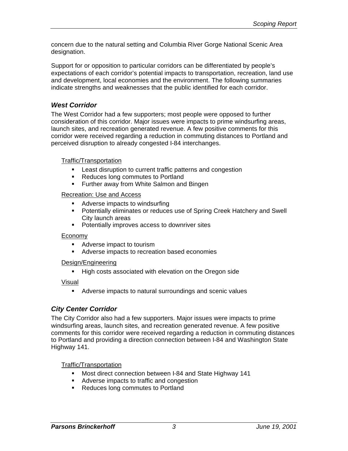concern due to the natural setting and Columbia River Gorge National Scenic Area designation.

Support for or opposition to particular corridors can be differentiated by people's expectations of each corridor's potential impacts to transportation, recreation, land use and development, local economies and the environment. The following summaries indicate strengths and weaknesses that the public identified for each corridor.

### *West Corridor*

The West Corridor had a few supporters; most people were opposed to further consideration of this corridor. Major issues were impacts to prime windsurfing areas, launch sites, and recreation generated revenue. A few positive comments for this corridor were received regarding a reduction in commuting distances to Portland and perceived disruption to already congested I-84 interchanges.

#### Traffic/Transportation

- **EXECT** Least disruption to current traffic patterns and congestion
- Reduces long commutes to Portland
- **Further away from White Salmon and Bingen**

#### Recreation: Use and Access

- Adverse impacts to windsurfing
- **Potentially eliminates or reduces use of Spring Creek Hatchery and Swell** City launch areas
- **•** Potentially improves access to downriver sites

#### Economy

- Adverse impact to tourism
- **Adverse impacts to recreation based economies**

#### Design/Engineering

**High costs associated with elevation on the Oregon side** 

Visual

**Adverse impacts to natural surroundings and scenic values** 

### *City Center Corridor*

The City Corridor also had a few supporters. Major issues were impacts to prime windsurfing areas, launch sites, and recreation generated revenue. A few positive comments for this corridor were received regarding a reduction in commuting distances to Portland and providing a direction connection between I-84 and Washington State Highway 141.

Traffic/Transportation

- **Most direct connection between I-84 and State Highway 141**
- Adverse impacts to traffic and congestion
- Reduces long commutes to Portland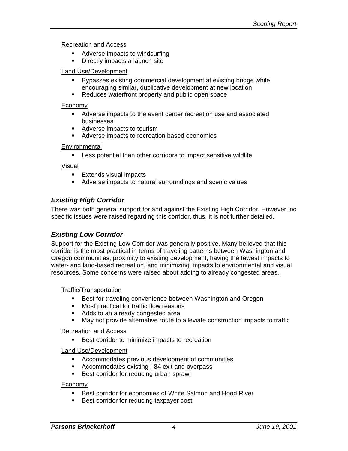#### Recreation and Access

- Adverse impacts to windsurfing
- **•** Directly impacts a launch site

#### Land Use/Development

- **Bypasses existing commercial development at existing bridge while** encouraging similar, duplicative development at new location
- Reduces waterfront property and public open space

#### Economy

- **•** Adverse impacts to the event center recreation use and associated businesses
- Adverse impacts to tourism
- **EXEC** Adverse impacts to recreation based economies

#### **Environmental**

**EXECT** Less potential than other corridors to impact sensitive wildlife

#### Visual

- **Extends visual impacts**
- **Adverse impacts to natural surroundings and scenic values**

### *Existing High Corridor*

There was both general support for and against the Existing High Corridor. However, no specific issues were raised regarding this corridor, thus, it is not further detailed.

### *Existing Low Corridor*

Support for the Existing Low Corridor was generally positive. Many believed that this corridor is the most practical in terms of traveling patterns between Washington and Oregon communities, proximity to existing development, having the fewest impacts to water- and land-based recreation, and minimizing impacts to environmental and visual resources. Some concerns were raised about adding to already congested areas.

#### Traffic/Transportation

- **Best for traveling convenience between Washington and Oregon**
- **Nost practical for traffic flow reasons**
- Adds to an already congested area
- **May not provide alternative route to alleviate construction impacts to traffic**

#### Recreation and Access

**Best corridor to minimize impacts to recreation** 

#### Land Use/Development

- **EXECOMMODATELY** Accommodates previous development of communities
- **EXECOMMODATES EXISTING I-84 exit and overpass**
- **Best corridor for reducing urban sprawl**

#### Economy

- Best corridor for economies of White Salmon and Hood River
- **Best corridor for reducing taxpayer cost**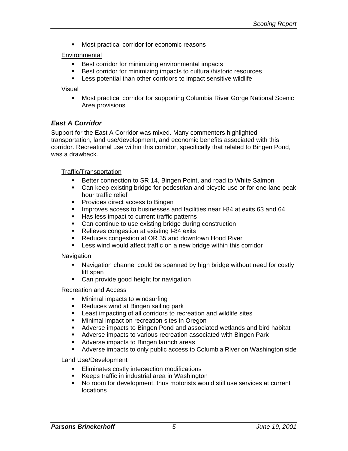**Most practical corridor for economic reasons** 

#### **Environmental**

- **Best corridor for minimizing environmental impacts**
- **Best corridor for minimizing impacts to cultural/historic resources**
- **EXECT:** Less potential than other corridors to impact sensitive wildlife

#### Visual

**KROPE Most practical corridor for supporting Columbia River Gorge National Scenic** Area provisions

#### *East A Corridor*

Support for the East A Corridor was mixed. Many commenters highlighted transportation, land use/development, and economic benefits associated with this corridor. Recreational use within this corridor, specifically that related to Bingen Pond, was a drawback.

#### Traffic/Transportation

- ß Better connection to SR 14, Bingen Point, and road to White Salmon
- Can keep existing bridge for pedestrian and bicycle use or for one-lane peak hour traffic relief
- **•** Provides direct access to Bingen
- **IMPROVES ACCESS to businesses and facilities near I-84 at exits 63 and 64**
- Has less impact to current traffic patterns
- Can continue to use existing bridge during construction
- Relieves congestion at existing I-84 exits
- Reduces congestion at OR 35 and downtown Hood River
- Less wind would affect traffic on a new bridge within this corridor

#### **Navigation**

- **•** Navigation channel could be spanned by high bridge without need for costly lift span
- Can provide good height for navigation

#### Recreation and Access

- Minimal impacts to windsurfing
- Reduces wind at Bingen sailing park
- **EXECT** Least impacting of all corridors to recreation and wildlife sites
- **KET Minimal impact on recreation sites in Oregon**
- **Adverse impacts to Bingen Pond and associated wetlands and bird habitat**
- **EXECT** Adverse impacts to various recreation associated with Bingen Park
- **Adverse impacts to Bingen launch areas**
- **Adverse impacts to only public access to Columbia River on Washington side**

#### Land Use/Development

- **Eliminates costly intersection modifications**
- ß Keeps traffic in industrial area in Washington
- No room for development, thus motorists would still use services at current locations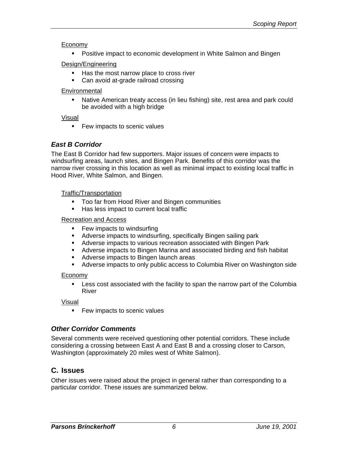### Economy

**• Positive impact to economic development in White Salmon and Bingen** 

### Design/Engineering

- Has the most narrow place to cross river
- Can avoid at-grade railroad crossing

### **Environmental**

**Native American treaty access (in lieu fishing) site, rest area and park could** be avoided with a high bridge

### Visual

**Few impacts to scenic values** 

## *East B Corridor*

The East B Corridor had few supporters. Major issues of concern were impacts to windsurfing areas, launch sites, and Bingen Park. Benefits of this corridor was the narrow river crossing in this location as well as minimal impact to existing local traffic in Hood River, White Salmon, and Bingen.

### Traffic/Transportation

- **Too far from Hood River and Bingen communities**
- **Has less impact to current local traffic**

### Recreation and Access

- **Few impacts to windsurfing**
- **Adverse impacts to windsurfing, specifically Bingen sailing park**
- **EXECT** Adverse impacts to various recreation associated with Bingen Park
- **Adverse impacts to Bingen Marina and associated birding and fish habitat**
- **Adverse impacts to Bingen launch areas**
- **Adverse impacts to only public access to Columbia River on Washington side**

### **Economy**

**EXELLES** cost associated with the facility to span the narrow part of the Columbia River

Visual

**Few impacts to scenic values** 

### *Other Corridor Comments*

Several comments were received questioning other potential corridors. These include considering a crossing between East A and East B and a crossing closer to Carson, Washington (approximately 20 miles west of White Salmon).

## **C. Issues**

Other issues were raised about the project in general rather than corresponding to a particular corridor. These issues are summarized below.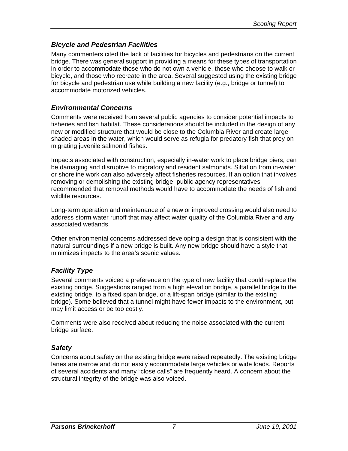### *Bicycle and Pedestrian Facilities*

Many commenters cited the lack of facilities for bicycles and pedestrians on the current bridge. There was general support in providing a means for these types of transportation in order to accommodate those who do not own a vehicle, those who choose to walk or bicycle, and those who recreate in the area. Several suggested using the existing bridge for bicycle and pedestrian use while building a new facility (e.g., bridge or tunnel) to accommodate motorized vehicles.

### *Environmental Concerns*

Comments were received from several public agencies to consider potential impacts to fisheries and fish habitat. These considerations should be included in the design of any new or modified structure that would be close to the Columbia River and create large shaded areas in the water, which would serve as refugia for predatory fish that prey on migrating juvenile salmonid fishes.

Impacts associated with construction, especially in-water work to place bridge piers, can be damaging and disruptive to migratory and resident salmonids. Siltation from in-water or shoreline work can also adversely affect fisheries resources. If an option that involves removing or demolishing the existing bridge, public agency representatives recommended that removal methods would have to accommodate the needs of fish and wildlife resources.

Long-term operation and maintenance of a new or improved crossing would also need to address storm water runoff that may affect water quality of the Columbia River and any associated wetlands.

Other environmental concerns addressed developing a design that is consistent with the natural surroundings if a new bridge is built. Any new bridge should have a style that minimizes impacts to the area's scenic values.

### *Facility Type*

Several comments voiced a preference on the type of new facility that could replace the existing bridge. Suggestions ranged from a high elevation bridge, a parallel bridge to the existing bridge, to a fixed span bridge, or a lift-span bridge (similar to the existing bridge). Some believed that a tunnel might have fewer impacts to the environment, but may limit access or be too costly.

Comments were also received about reducing the noise associated with the current bridge surface.

### *Safety*

Concerns about safety on the existing bridge were raised repeatedly. The existing bridge lanes are narrow and do not easily accommodate large vehicles or wide loads. Reports of several accidents and many "close calls" are frequently heard. A concern about the structural integrity of the bridge was also voiced.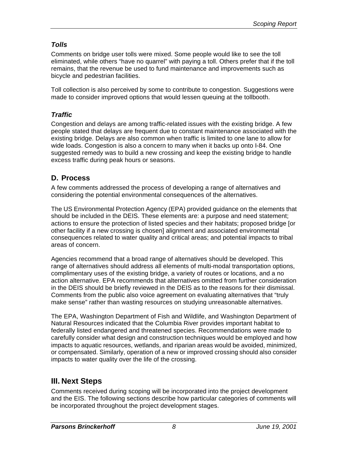## *Tolls*

Comments on bridge user tolls were mixed. Some people would like to see the toll eliminated, while others "have no quarrel" with paying a toll. Others prefer that if the toll remains, that the revenue be used to fund maintenance and improvements such as bicycle and pedestrian facilities.

Toll collection is also perceived by some to contribute to congestion. Suggestions were made to consider improved options that would lessen queuing at the tollbooth.

## *Traffic*

Congestion and delays are among traffic-related issues with the existing bridge. A few people stated that delays are frequent due to constant maintenance associated with the existing bridge. Delays are also common when traffic is limited to one lane to allow for wide loads. Congestion is also a concern to many when it backs up onto I-84. One suggested remedy was to build a new crossing and keep the existing bridge to handle excess traffic during peak hours or seasons.

# **D. Process**

A few comments addressed the process of developing a range of alternatives and considering the potential environmental consequences of the alternatives.

The US Environmental Protection Agency (EPA) provided guidance on the elements that should be included in the DEIS. These elements are: a purpose and need statement; actions to ensure the protection of listed species and their habitats; proposed bridge [or other facility if a new crossing is chosen] alignment and associated environmental consequences related to water quality and critical areas; and potential impacts to tribal areas of concern.

Agencies recommend that a broad range of alternatives should be developed. This range of alternatives should address all elements of multi-modal transportation options, complimentary uses of the existing bridge, a variety of routes or locations, and a no action alternative. EPA recommends that alternatives omitted from further consideration in the DEIS should be briefly reviewed in the DEIS as to the reasons for their dismissal. Comments from the public also voice agreement on evaluating alternatives that "truly make sense" rather than wasting resources on studying unreasonable alternatives.

The EPA, Washington Department of Fish and Wildlife, and Washington Department of Natural Resources indicated that the Columbia River provides important habitat to federally listed endangered and threatened species. Recommendations were made to carefully consider what design and construction techniques would be employed and how impacts to aquatic resources, wetlands, and riparian areas would be avoided, minimized, or compensated. Similarly, operation of a new or improved crossing should also consider impacts to water quality over the life of the crossing.

# **III. Next Steps**

Comments received during scoping will be incorporated into the project development and the EIS. The following sections describe how particular categories of comments will be incorporated throughout the project development stages.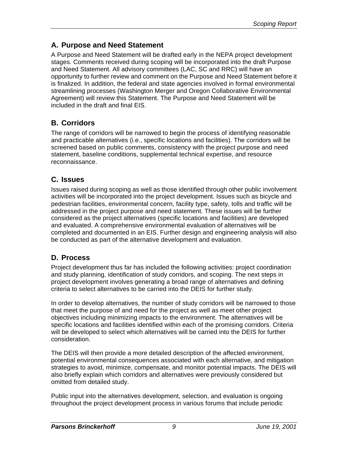# **A. Purpose and Need Statement**

A Purpose and Need Statement will be drafted early in the NEPA project development stages. Comments received during scoping will be incorporated into the draft Purpose and Need Statement. All advisory committees (LAC, SC and RRC) will have an opportunity to further review and comment on the Purpose and Need Statement before it is finalized. In addition, the federal and state agencies involved in formal environmental streamlining processes (Washington Merger and Oregon Collaborative Environmental Agreement) will review this Statement. The Purpose and Need Statement will be included in the draft and final EIS.

# **B. Corridors**

The range of corridors will be narrowed to begin the process of identifying reasonable and practicable alternatives (i.e., specific locations and facilities). The corridors will be screened based on public comments, consistency with the project purpose and need statement, baseline conditions, supplemental technical expertise, and resource reconnaissance.

# **C. Issues**

Issues raised during scoping as well as those identified through other public involvement activities will be incorporated into the project development. Issues such as bicycle and pedestrian facilities, environmental concern, facility type, safety, tolls and traffic will be addressed in the project purpose and need statement. These issues will be further considered as the project alternatives (specific locations and facilities) are developed and evaluated. A comprehensive environmental evaluation of alternatives will be completed and documented in an EIS. Further design and engineering analysis will also be conducted as part of the alternative development and evaluation.

# **D. Process**

Project development thus far has included the following activities: project coordination and study planning, identification of study corridors, and scoping. The next steps in project development involves generating a broad range of alternatives and defining criteria to select alternatives to be carried into the DEIS for further study.

In order to develop alternatives, the number of study corridors will be narrowed to those that meet the purpose of and need for the project as well as meet other project objectives including minimizing impacts to the environment. The alternatives will be specific locations and facilities identified within each of the promising corridors. Criteria will be developed to select which alternatives will be carried into the DEIS for further consideration.

The DEIS will then provide a more detailed description of the affected environment, potential environmental consequences associated with each alternative, and mitigation strategies to avoid, minimize, compensate, and monitor potential impacts. The DEIS will also briefly explain which corridors and alternatives were previously considered but omitted from detailed study.

Public input into the alternatives development, selection, and evaluation is ongoing throughout the project development process in various forums that include periodic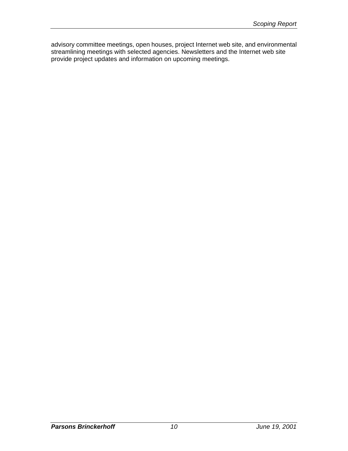advisory committee meetings, open houses, project Internet web site, and environmental streamlining meetings with selected agencies. Newsletters and the Internet web site provide project updates and information on upcoming meetings.